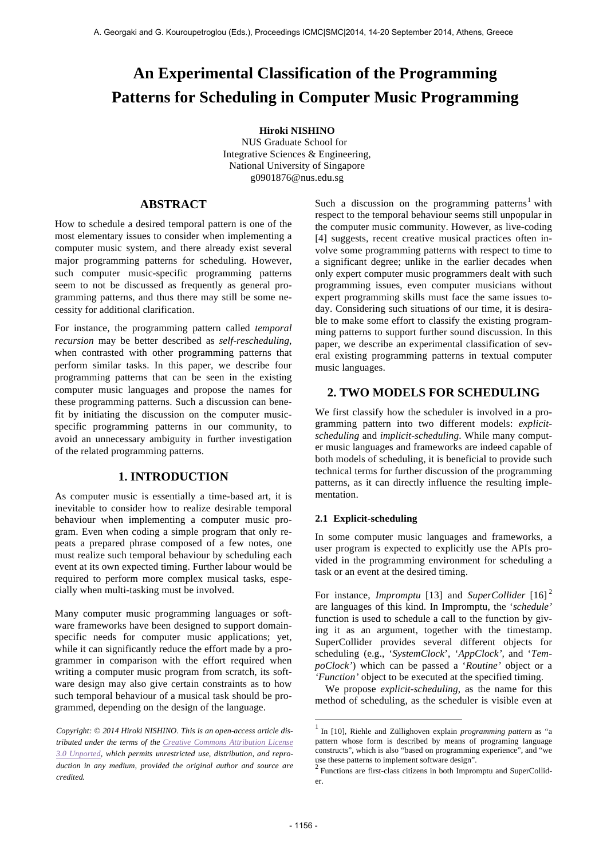# **An Experimental Classification of the Programming Patterns for Scheduling in Computer Music Programming**

## **Hiroki NISHINO**

NUS Graduate School for Integrative Sciences & Engineering, National University of Singapore g0901876@nus.edu.sg

# **ABSTRACT**

How to schedule a desired temporal pattern is one of the most elementary issues to consider when implementing a computer music system, and there already exist several major programming patterns for scheduling. However, such computer music-specific programming patterns seem to not be discussed as frequently as general programming patterns, and thus there may still be some necessity for additional clarification.

For instance, the programming pattern called *temporal recursion* may be better described as *self-rescheduling*, when contrasted with other programming patterns that perform similar tasks. In this paper, we describe four programming patterns that can be seen in the existing computer music languages and propose the names for these programming patterns. Such a discussion can benefit by initiating the discussion on the computer musicspecific programming patterns in our community, to avoid an unnecessary ambiguity in further investigation of the related programming patterns.

# **1. INTRODUCTION**

As computer music is essentially a time-based art, it is inevitable to consider how to realize desirable temporal behaviour when implementing a computer music program. Even when coding a simple program that only repeats a prepared phrase composed of a few notes, one must realize such temporal behaviour by scheduling each event at its own expected timing. Further labour would be required to perform more complex musical tasks, especially when multi-tasking must be involved.

Many computer music programming languages or software frameworks have been designed to support domainspecific needs for computer music applications; yet, while it can significantly reduce the effort made by a programmer in comparison with the effort required when writing a computer music program from scratch, its software design may also give certain constraints as to how such temporal behaviour of a musical task should be programmed, depending on the design of the language.

Such a discussion on the programming patterns<sup>1</sup> with respect to the temporal behaviour seems still unpopular in the computer music community. However, as live-coding [4] suggests, recent creative musical practices often involve some programming patterns with respect to time to a significant degree; unlike in the earlier decades when only expert computer music programmers dealt with such programming issues, even computer musicians without expert programming skills must face the same issues today. Considering such situations of our time, it is desirable to make some effort to classify the existing programming patterns to support further sound discussion. In this paper, we describe an experimental classification of several existing programming patterns in textual computer music languages.

# **2. TWO MODELS FOR SCHEDULING**

We first classify how the scheduler is involved in a programming pattern into two different models: *explicitscheduling* and *implicit-scheduling*. While many computer music languages and frameworks are indeed capable of both models of scheduling, it is beneficial to provide such technical terms for further discussion of the programming patterns, as it can directly influence the resulting implementation.

# **2.1 Explicit-scheduling**

In some computer music languages and frameworks, a user program is expected to explicitly use the APIs provided in the programming environment for scheduling a task or an event at the desired timing.

For instance, *Impromptu* [13] and *SuperCollider* [16]<sup>2</sup> are languages of this kind. In Impromptu, the '*schedule'* function is used to schedule a call to the function by giving it as an argument, together with the timestamp. SuperCollider provides several different objects for scheduling (e.g., '*SystemClock*', '*AppClock',* and '*TempoClock'*) which can be passed a '*Routine'* object or a *'Function'* object to be executed at the specified timing.

 We propose *explicit-scheduling*, as the name for this method of scheduling*,* as the scheduler is visible even at

l

*Copyright: © 2014 Hiroki NISHINO. This is an open-access article distributed under the terms of the Creative Commons Attribution License 3.0 Unported, which permits unrestricted use, distribution, and reproduction in any medium, provided the original author and source are credited.*

<sup>1</sup> In [10], Riehle and Züllighoven explain *programming pattern* as "a pattern whose form is described by means of programing language constructs", which is also "based on programming experience", and "we

use these patterns to implement software design"*.* <sup>2</sup> Functions are first-class citizens in both Impromptu and SuperCollider.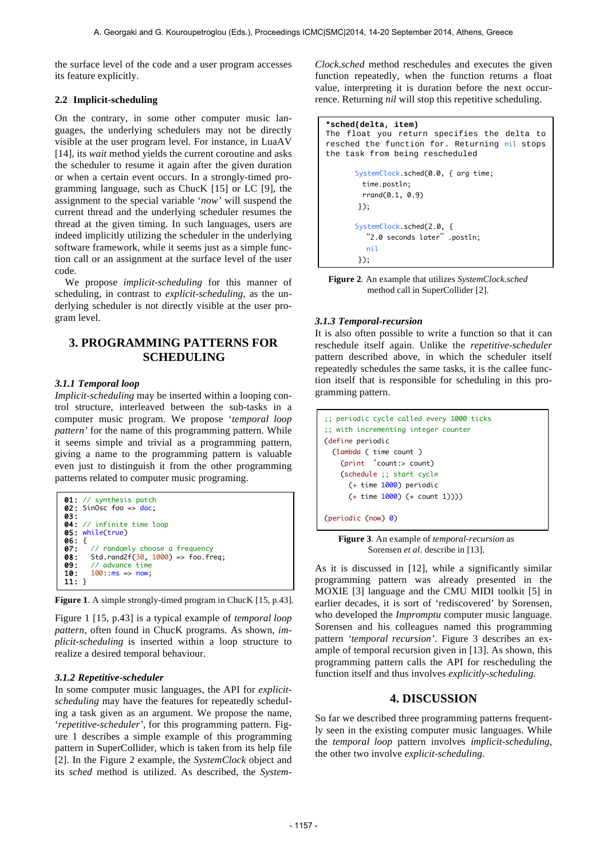the surface level of the code and a user program accesses its feature explicitly.

#### **2.2 Implicit-scheduling**

On the contrary, in some other computer music languages, the underlying schedulers may not be directly visible at the user program level. For instance, in LuaAV [14], its *wait* method yields the current coroutine and asks the scheduler to resume it again after the given duration or when a certain event occurs. In a strongly-timed programming language, such as ChucK [15] or LC [9], the assignment to the special variable '*now'* will suspend the current thread and the underlying scheduler resumes the thread at the given timing. In such languages, users are indeed implicitly utilizing the scheduler in the underlying software framework, while it seems just as a simple function call or an assignment at the surface level of the user code.

 We propose *implicit-scheduling* for this manner of scheduling, in contrast to *explicit-scheduling*, as the underlying scheduler is not directly visible at the user program level.

# **3. PROGRAMMING PATTERNS FOR SCHEDULING**

#### *3.1.1 Temporal loop*

*Implicit-scheduling* may be inserted within a looping control structure, interleaved between the sub-tasks in a computer music program. We propose '*temporal loop pattern'* for the name of this programming pattern. While it seems simple and trivial as a programming pattern, giving a name to the programming pattern is valuable even just to distinguish it from the other programming patterns related to computer music programing.



**Figure 1**. A simple strongly-timed program in ChucK [15, p.43].

Figure 1 [15, p.43] is a typical example of *temporal loop pattern*, often found in ChucK programs. As shown, *implicit-scheduling* is inserted within a loop structure to realize a desired temporal behaviour.

#### *3.1.2 Repetitive-scheduler*

In some computer music languages, the API for *explicitscheduling* may have the features for repeatedly scheduling a task given as an argument. We propose the name, '*repetitive-scheduler',* for this programming pattern. Figure 1 describes a simple example of this programming pattern in SuperCollider, which is taken from its help file [2]. In the Figure 2 example, the *SystemClock* object and its *sched* method is utilized. As described, the *System-* *Clock.sched* method reschedules and executes the given function repeatedly, when the function returns a float value, interpreting it is duration before the next occurrence. Returning *nil* will stop this repetitive scheduling.

```
*sched(delta, item) 
The float you return specifies the delta to 
resched the function for. Returning nil stops 
the task from being rescheduled
       SystemClock.sched(0.0, { arg time;
         								 time.postln;
         rrand(0.1, 0.9)								});
        SystemClock.sched(2.0,	{	
           									"2.0	seconds	later".postln;	
          										nil
        								});
```
**Figure 2**. An example that utilizes *SystemClock.sched*  method call in SuperCollider [2].

#### *3.1.3 Temporal-recursion*

It is also often possible to write a function so that it can reschedule itself again. Unlike the *repetitive-scheduler* pattern described above, in which the scheduler itself repeatedly schedules the same tasks, it is the callee function itself that is responsible for scheduling in this programming pattern.

```
;; periodic cycle called every 1000 ticks
;; with incrementing integer counter
(define periodic
  (lambda ( time count )
    				(print	'count:> count)
    (schedule ;; start cycle
      (+ time 1000) periodic
      (+ \text{ time } 1000) (+ \text{ count } 1))))
```
(periodic (now) 0)

**Figure 3**. An example of *temporal-recursion* as Sorensen *et al*. describe in [13].

As it is discussed in [12], while a significantly similar programming pattern was already presented in the MOXIE [3] language and the CMU MIDI toolkit [5] in earlier decades, it is sort of 'rediscovered' by Sorensen, who developed the *Impromptu* computer music language. Sorensen and his colleagues named this programming pattern *'temporal recursion'*. Figure 3 describes an example of temporal recursion given in [13]. As shown, this programming pattern calls the API for rescheduling the function itself and thus involves *explicitly-scheduling.*

# **4. DISCUSSION**

So far we described three programming patterns frequently seen in the existing computer music languages. While the *temporal loop* pattern involves *implicit-scheduling*, the other two involve *explicit-scheduling.*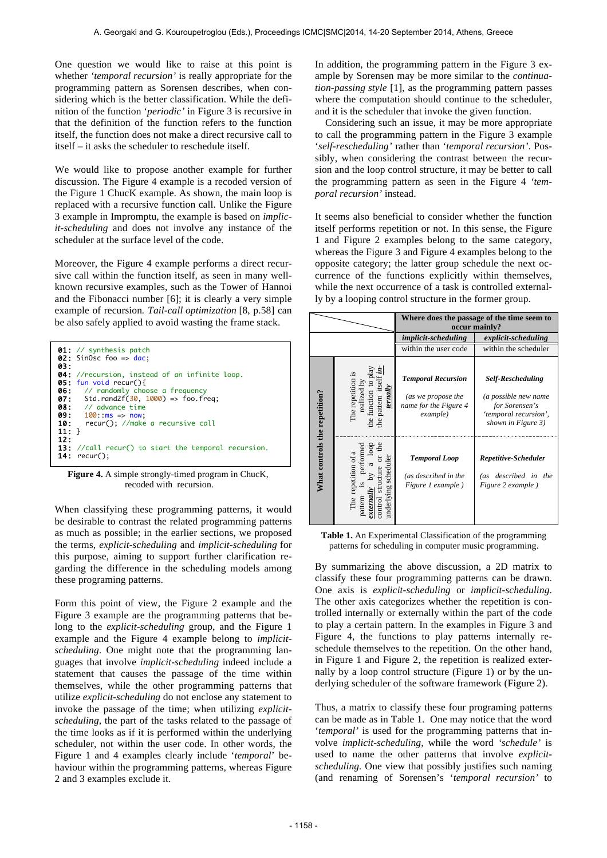One question we would like to raise at this point is whether *'temporal recursion'* is really appropriate for the programming pattern as Sorensen describes, when considering which is the better classification. While the definition of the function '*periodic'* in Figure 3 is recursive in that the definition of the function refers to the function itself, the function does not make a direct recursive call to itself – it asks the scheduler to reschedule itself.

We would like to propose another example for further discussion. The Figure 4 example is a recoded version of the Figure 1 ChucK example. As shown, the main loop is replaced with a recursive function call. Unlike the Figure 3 example in Impromptu, the example is based on *implicit-scheduling* and does not involve any instance of the scheduler at the surface level of the code.

Moreover, the Figure 4 example performs a direct recursive call within the function itself, as seen in many wellknown recursive examples, such as the Tower of Hannoi and the Fibonacci number [6]; it is clearly a very simple example of recursion*. Tail-call optimization* [8, p.58] can be also safely applied to avoid wasting the frame stack.

| <b>04:</b> //recursion, instead of an infinite loop.<br><b>05:</b> fun void recur(){<br><b>06:</b> // randomly choose a frequency<br><b>07:</b> Std.rand2f( $30, 1000$ ) => foo.freq;<br>$08:$ // advance time<br>$0.9: 100: ms \Rightarrow now$ | <b>03:</b> | <b>01:</b> // synthesis patch<br><b>02:</b> SinOsc foo => $\text{dac}$ : |
|--------------------------------------------------------------------------------------------------------------------------------------------------------------------------------------------------------------------------------------------------|------------|--------------------------------------------------------------------------|
| $11:$ }<br>12:<br>13: //call recur() to start the temporal recursion.                                                                                                                                                                            |            | <b>10:</b> recur(); //make a recursive call                              |

Figure 4. A simple strongly-timed program in ChucK, recoded with recursion.

When classifying these programming patterns, it would be desirable to contrast the related programming patterns as much as possible; in the earlier sections, we proposed the terms, *explicit-scheduling* and *implicit-scheduling* for this purpose, aiming to support further clarification regarding the difference in the scheduling models among these programing patterns.

Form this point of view, the Figure 2 example and the Figure 3 example are the programming patterns that belong to the *explicit-scheduling* group, and the Figure 1 example and the Figure 4 example belong to *implicitscheduling*. One might note that the programming languages that involve *implicit-scheduling* indeed include a statement that causes the passage of the time within themselves, while the other programming patterns that utilize *explicit-scheduling* do not enclose any statement to invoke the passage of the time; when utilizing *explicitscheduling*, the part of the tasks related to the passage of the time looks as if it is performed within the underlying scheduler, not within the user code. In other words, the Figure 1 and 4 examples clearly include '*temporal*' behaviour within the programming patterns, whereas Figure 2 and 3 examples exclude it.

In addition, the programming pattern in the Figure 3 example by Sorensen may be more similar to the *continuation-passing style* [1], as the programming pattern passes where the computation should continue to the scheduler, and it is the scheduler that invoke the given function.

 Considering such an issue, it may be more appropriate to call the programming pattern in the Figure 3 example '*self-rescheduling'* rather than '*temporal recursion'*. Possibly, when considering the contrast between the recursion and the loop control structure, it may be better to call the programming pattern as seen in the Figure 4 *'temporal recursion'* instead.

It seems also beneficial to consider whether the function itself performs repetition or not. In this sense, the Figure 1 and Figure 2 examples belong to the same category, whereas the Figure 3 and Figure 4 examples belong to the opposite category; the latter group schedule the next occurrence of the functions explicitly within themselves, while the next occurrence of a task is controlled externally by a looping control structure in the former group.

|                               |                                                                                                                  | Where does the passage of the time seem to<br>occur mainly?                          |                                                                                                                   |  |
|-------------------------------|------------------------------------------------------------------------------------------------------------------|--------------------------------------------------------------------------------------|-------------------------------------------------------------------------------------------------------------------|--|
|                               |                                                                                                                  | <i>implicit-scheduling</i>                                                           | explicit-scheduling                                                                                               |  |
|                               |                                                                                                                  | within the user code                                                                 | within the scheduler                                                                                              |  |
| What controls the repetition? | The repetition is<br>realized by<br>pattern itsel:<br>ternally<br>he function<br>the <sup>-</sup>                | <b>Temporal Recursion</b><br>(as we propose the<br>name for the Figure 4<br>example) | <b>Self-Rescheduling</b><br>(a possible new name<br>for Sorensen's<br>'temporal recursion',<br>shown in Figure 3) |  |
|                               | the<br>gool<br>performed<br>The repetition of a<br>underlying scheduler<br>structure<br>51<br>pattern<br>control | <b>Temporal Loop</b><br>(as described in the<br>Figure 1 example)                    | Repetitive-Scheduler<br>(as described in the<br>Figure 2 example)                                                 |  |

**Table 1.** An Experimental Classification of the programming patterns for scheduling in computer music programming.

By summarizing the above discussion, a 2D matrix to classify these four programming patterns can be drawn. One axis is *explicit-scheduling* or *implicit-scheduling*. The other axis categorizes whether the repetition is controlled internally or externally within the part of the code to play a certain pattern. In the examples in Figure 3 and Figure 4, the functions to play patterns internally reschedule themselves to the repetition. On the other hand, in Figure 1 and Figure 2, the repetition is realized externally by a loop control structure (Figure 1) or by the underlying scheduler of the software framework (Figure 2).

Thus, a matrix to classify these four programing patterns can be made as in Table 1. One may notice that the word '*temporal'* is used for the programming patterns that involve *implicit-scheduling,* while the word *'schedule'* is used to name the other patterns that involve *explicitscheduling.* One view that possibly justifies such naming (and renaming of Sorensen's '*temporal recursion'* to